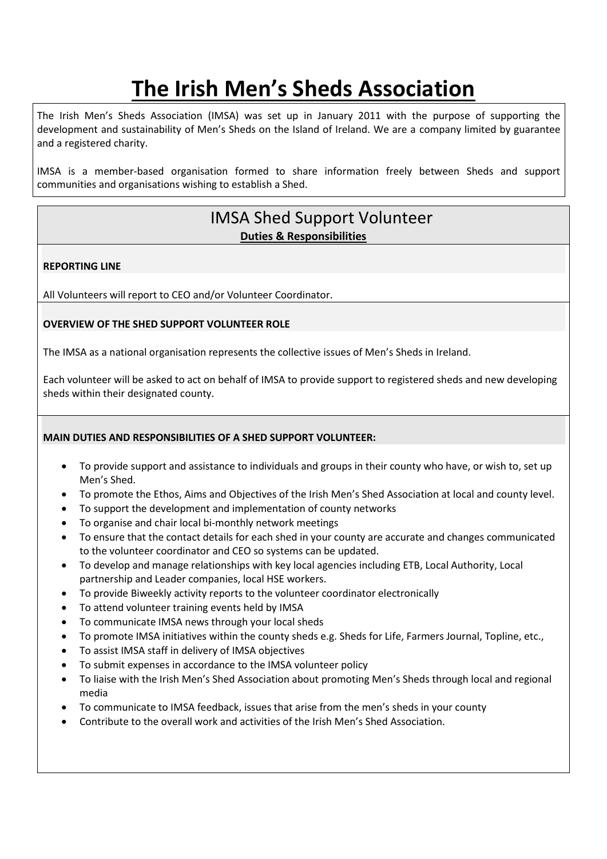# **The Irish Men's Sheds Association**

The Irish Men's Sheds Association (IMSA) was set up in January 2011 with the purpose of supporting the development and sustainability of Men's Sheds on the Island of Ireland. We are a company limited by guarantee and a registered charity.

IMSA is a member-based organisation formed to share information freely between Sheds and support communities and organisations wishing to establish a Shed.

## IMSA Shed Support Volunteer **Duties & Responsibilities**

#### **REPORTING LINE**

All Volunteers will report to CEO and/or Volunteer Coordinator.

#### **OVERVIEW OF THE SHED SUPPORT VOLUNTEER ROLE**

The IMSA as a national organisation represents the collective issues of Men's Sheds in Ireland.

Each volunteer will be asked to act on behalf of IMSA to provide support to registered sheds and new developing sheds within their designated county.

#### **MAIN DUTIES AND RESPONSIBILITIES OF A SHED SUPPORT VOLUNTEER:**

- To provide support and assistance to individuals and groups in their county who have, or wish to, set up Men's Shed.
- To promote the Ethos, Aims and Objectives of the Irish Men's Shed Association at local and county level.
- To support the development and implementation of county networks
- To organise and chair local bi-monthly network meetings
- To ensure that the contact details for each shed in your county are accurate and changes communicated to the volunteer coordinator and CEO so systems can be updated.
- To develop and manage relationships with key local agencies including ETB, Local Authority, Local partnership and Leader companies, local HSE workers.
- To provide Biweekly activity reports to the volunteer coordinator electronically
- To attend volunteer training events held by IMSA
- To communicate IMSA news through your local sheds
- To promote IMSA initiatives within the county sheds e.g. Sheds for Life, Farmers Journal, Topline, etc.,
- To assist IMSA staff in delivery of IMSA objectives
- To submit expenses in accordance to the IMSA volunteer policy
- To liaise with the Irish Men's Shed Association about promoting Men's Sheds through local and regional media
- To communicate to IMSA feedback, issues that arise from the men's sheds in your county
- Contribute to the overall work and activities of the Irish Men's Shed Association.